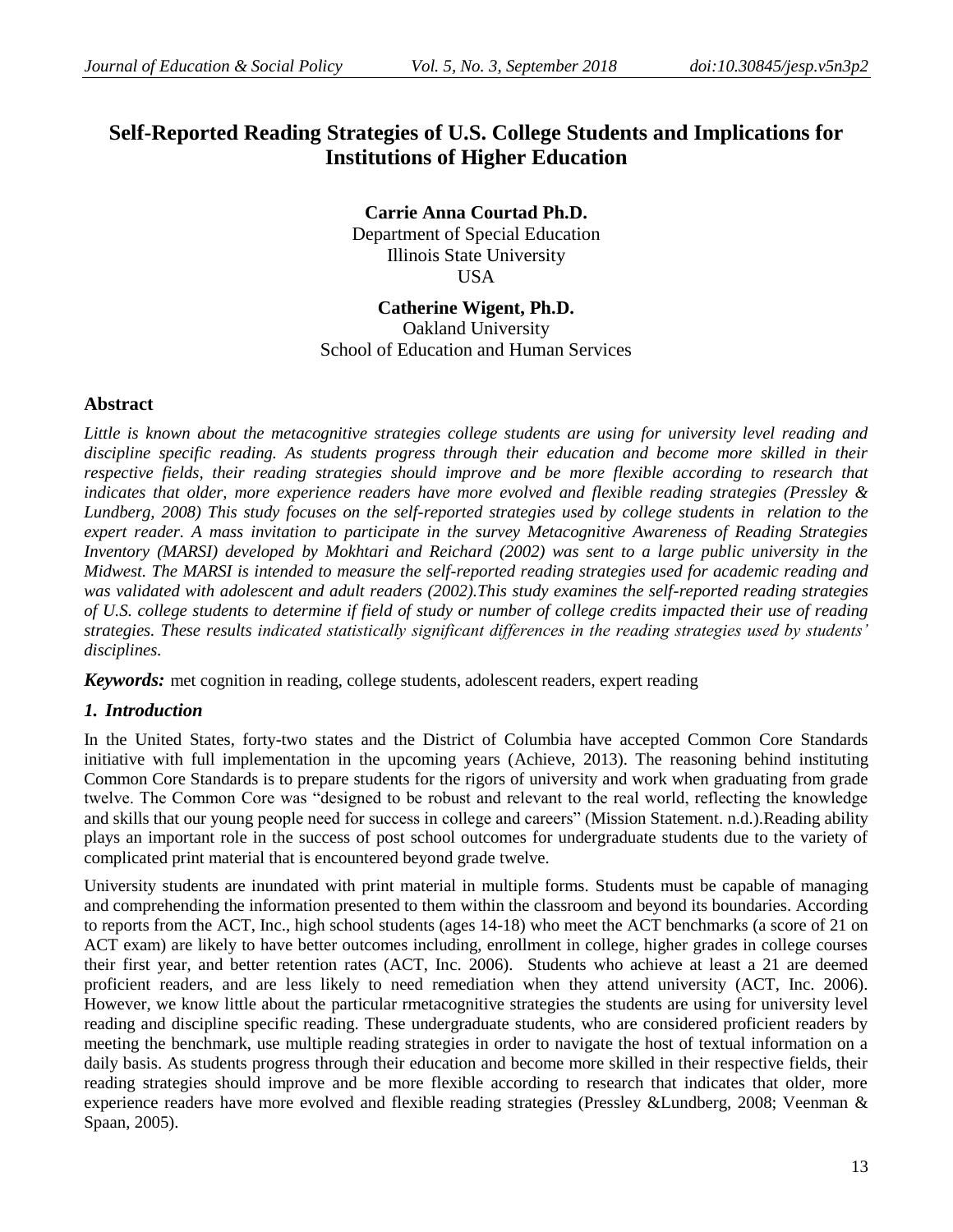# **Self-Reported Reading Strategies of U.S. College Students and Implications for Institutions of Higher Education**

**Carrie Anna Courtad Ph.D.** Department of Special Education Illinois State University USA

## **Catherine Wigent, Ph.D.**

Oakland University School of Education and Human Services

## **Abstract**

*Little is known about the metacognitive strategies college students are using for university level reading and discipline specific reading. As students progress through their education and become more skilled in their respective fields, their reading strategies should improve and be more flexible according to research that indicates that older, more experience readers have more evolved and flexible reading strategies (Pressley & Lundberg, 2008) This study focuses on the self-reported strategies used by college students in relation to the expert reader. A mass invitation to participate in the survey Metacognitive Awareness of Reading Strategies Inventory (MARSI) developed by Mokhtari and Reichard (2002) was sent to a large public university in the Midwest. The MARSI is intended to measure the self-reported reading strategies used for academic reading and was validated with adolescent and adult readers (2002).This study examines the self-reported reading strategies of U.S. college students to determine if field of study or number of college credits impacted their use of reading strategies. These results indicated statistically significant differences in the reading strategies used by students' disciplines.* 

*Keywords:* met cognition in reading, college students, adolescent readers, expert reading

## *1. Introduction*

In the United States, forty-two states and the District of Columbia have accepted Common Core Standards initiative with full implementation in the upcoming years (Achieve, 2013). The reasoning behind instituting Common Core Standards is to prepare students for the rigors of university and work when graduating from grade twelve. The Common Core was "designed to be robust and relevant to the real world, reflecting the knowledge and skills that our young people need for success in college and careers" (Mission Statement. n.d.).Reading ability plays an important role in the success of post school outcomes for undergraduate students due to the variety of complicated print material that is encountered beyond grade twelve.

University students are inundated with print material in multiple forms. Students must be capable of managing and comprehending the information presented to them within the classroom and beyond its boundaries. According to reports from the ACT, Inc., high school students (ages 14-18) who meet the ACT benchmarks (a score of 21 on ACT exam) are likely to have better outcomes including, enrollment in college, higher grades in college courses their first year, and better retention rates (ACT, Inc. 2006). Students who achieve at least a 21 are deemed proficient readers, and are less likely to need remediation when they attend university (ACT, Inc. 2006). However, we know little about the particular rmetacognitive strategies the students are using for university level reading and discipline specific reading. These undergraduate students, who are considered proficient readers by meeting the benchmark, use multiple reading strategies in order to navigate the host of textual information on a daily basis. As students progress through their education and become more skilled in their respective fields, their reading strategies should improve and be more flexible according to research that indicates that older, more experience readers have more evolved and flexible reading strategies (Pressley &Lundberg, 2008; Veenman & Spaan, 2005).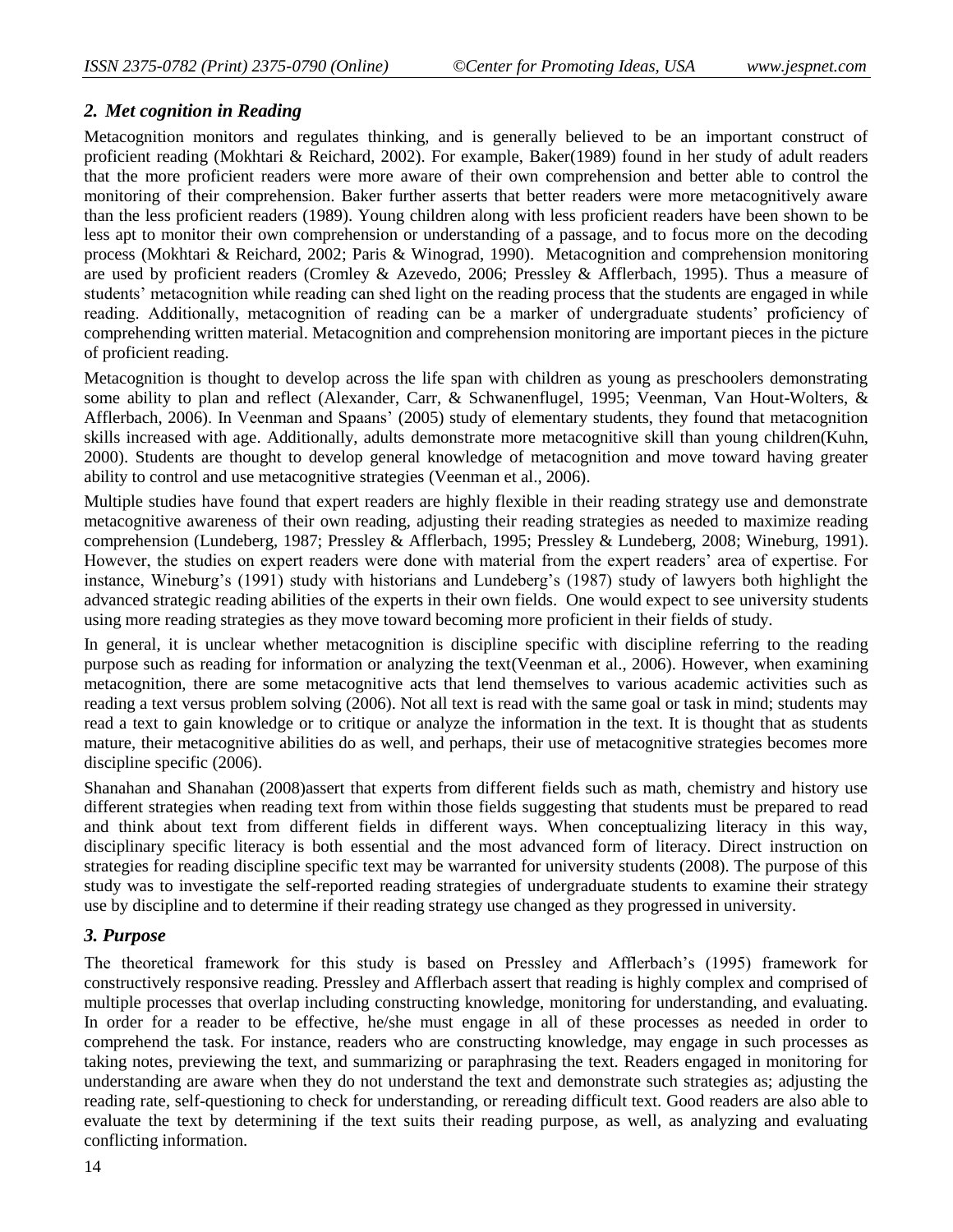## *2. Met cognition in Reading*

Metacognition monitors and regulates thinking, and is generally believed to be an important construct of proficient reading (Mokhtari & Reichard, 2002). For example, Baker(1989) found in her study of adult readers that the more proficient readers were more aware of their own comprehension and better able to control the monitoring of their comprehension. Baker further asserts that better readers were more metacognitively aware than the less proficient readers (1989). Young children along with less proficient readers have been shown to be less apt to monitor their own comprehension or understanding of a passage, and to focus more on the decoding process (Mokhtari & Reichard, 2002; Paris & Winograd, 1990). Metacognition and comprehension monitoring are used by proficient readers (Cromley & Azevedo, 2006; Pressley & Afflerbach, 1995). Thus a measure of students' metacognition while reading can shed light on the reading process that the students are engaged in while reading. Additionally, metacognition of reading can be a marker of undergraduate students' proficiency of comprehending written material. Metacognition and comprehension monitoring are important pieces in the picture of proficient reading.

Metacognition is thought to develop across the life span with children as young as preschoolers demonstrating some ability to plan and reflect (Alexander, Carr, & Schwanenflugel, 1995; Veenman, Van Hout-Wolters, & Afflerbach, 2006). In Veenman and Spaans' (2005) study of elementary students, they found that metacognition skills increased with age. Additionally, adults demonstrate more metacognitive skill than young children(Kuhn, 2000). Students are thought to develop general knowledge of metacognition and move toward having greater ability to control and use metacognitive strategies (Veenman et al., 2006).

Multiple studies have found that expert readers are highly flexible in their reading strategy use and demonstrate metacognitive awareness of their own reading, adjusting their reading strategies as needed to maximize reading comprehension (Lundeberg, 1987; Pressley & Afflerbach, 1995; Pressley & Lundeberg, 2008; Wineburg, 1991). However, the studies on expert readers were done with material from the expert readers' area of expertise. For instance, Wineburg's (1991) study with historians and Lundeberg's (1987) study of lawyers both highlight the advanced strategic reading abilities of the experts in their own fields. One would expect to see university students using more reading strategies as they move toward becoming more proficient in their fields of study.

In general, it is unclear whether metacognition is discipline specific with discipline referring to the reading purpose such as reading for information or analyzing the text(Veenman et al., 2006). However, when examining metacognition, there are some metacognitive acts that lend themselves to various academic activities such as reading a text versus problem solving (2006). Not all text is read with the same goal or task in mind; students may read a text to gain knowledge or to critique or analyze the information in the text. It is thought that as students mature, their metacognitive abilities do as well, and perhaps, their use of metacognitive strategies becomes more discipline specific (2006).

Shanahan and Shanahan (2008)assert that experts from different fields such as math, chemistry and history use different strategies when reading text from within those fields suggesting that students must be prepared to read and think about text from different fields in different ways. When conceptualizing literacy in this way, disciplinary specific literacy is both essential and the most advanced form of literacy. Direct instruction on strategies for reading discipline specific text may be warranted for university students (2008). The purpose of this study was to investigate the self-reported reading strategies of undergraduate students to examine their strategy use by discipline and to determine if their reading strategy use changed as they progressed in university.

## *3. Purpose*

The theoretical framework for this study is based on Pressley and Afflerbach's (1995) framework for constructively responsive reading. Pressley and Afflerbach assert that reading is highly complex and comprised of multiple processes that overlap including constructing knowledge, monitoring for understanding, and evaluating. In order for a reader to be effective, he/she must engage in all of these processes as needed in order to comprehend the task. For instance, readers who are constructing knowledge, may engage in such processes as taking notes, previewing the text, and summarizing or paraphrasing the text. Readers engaged in monitoring for understanding are aware when they do not understand the text and demonstrate such strategies as; adjusting the reading rate, self-questioning to check for understanding, or rereading difficult text. Good readers are also able to evaluate the text by determining if the text suits their reading purpose, as well, as analyzing and evaluating conflicting information.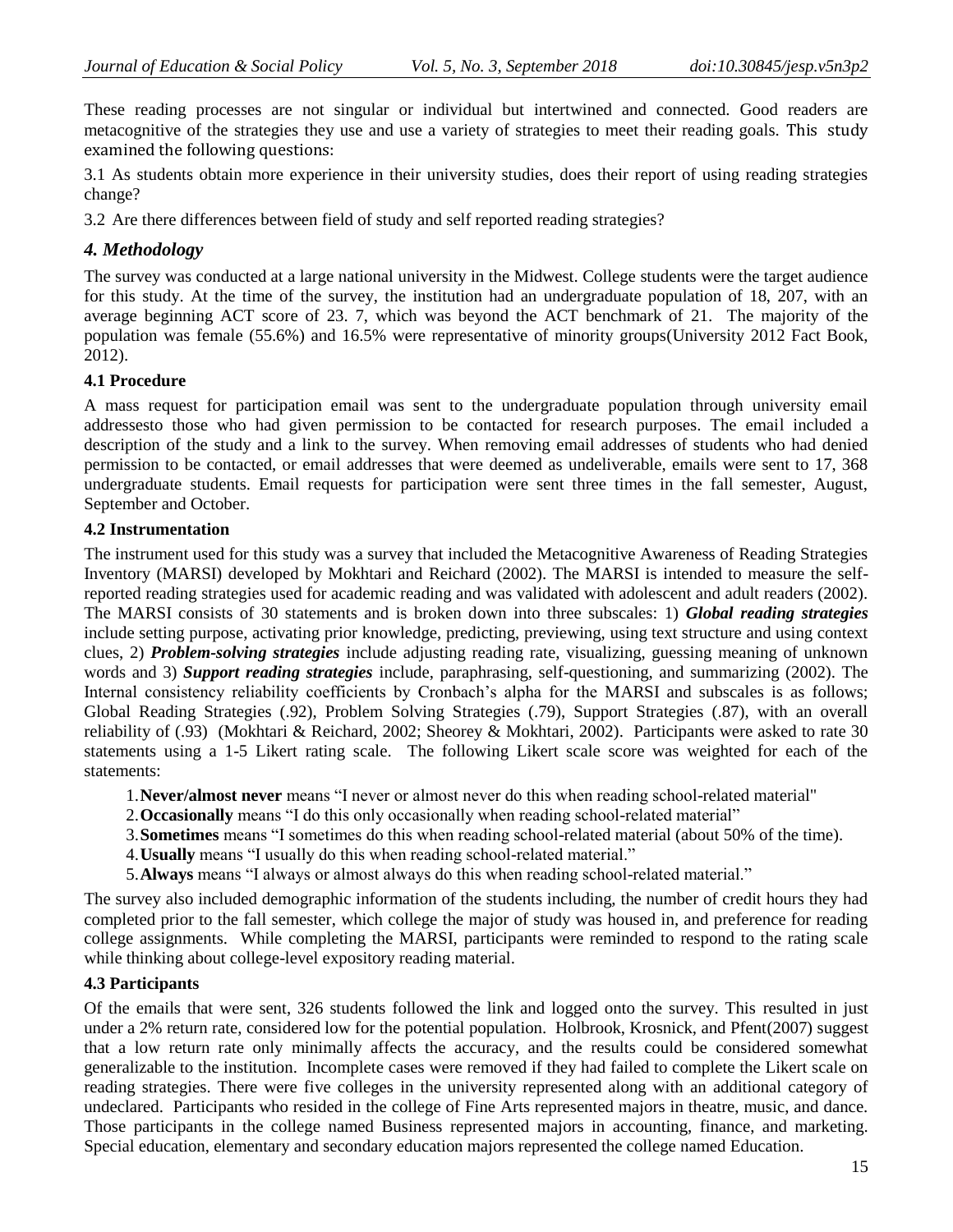These reading processes are not singular or individual but intertwined and connected. Good readers are metacognitive of the strategies they use and use a variety of strategies to meet their reading goals. This study examined the following questions:

3.1 As students obtain more experience in their university studies, does their report of using reading strategies change?

3.2 Are there differences between field of study and self reported reading strategies?

## *4. Methodology*

The survey was conducted at a large national university in the Midwest. College students were the target audience for this study. At the time of the survey, the institution had an undergraduate population of 18, 207, with an average beginning ACT score of 23. 7, which was beyond the ACT benchmark of 21. The majority of the population was female (55.6%) and 16.5% were representative of minority groups(University 2012 Fact Book, 2012).

## **4.1 Procedure**

A mass request for participation email was sent to the undergraduate population through university email addressesto those who had given permission to be contacted for research purposes. The email included a description of the study and a link to the survey. When removing email addresses of students who had denied permission to be contacted, or email addresses that were deemed as undeliverable, emails were sent to 17, 368 undergraduate students. Email requests for participation were sent three times in the fall semester, August, September and October.

## **4.2 Instrumentation**

The instrument used for this study was a survey that included the Metacognitive Awareness of Reading Strategies Inventory (MARSI) developed by Mokhtari and Reichard (2002). The MARSI is intended to measure the selfreported reading strategies used for academic reading and was validated with adolescent and adult readers (2002). The MARSI consists of 30 statements and is broken down into three subscales: 1) *Global reading strategies* include setting purpose, activating prior knowledge, predicting, previewing, using text structure and using context clues, 2) *Problem-solving strategies* include adjusting reading rate, visualizing, guessing meaning of unknown words and 3) *Support reading strategies* include, paraphrasing, self-questioning, and summarizing (2002). The Internal consistency reliability coefficients by Cronbach's alpha for the MARSI and subscales is as follows; Global Reading Strategies (.92), Problem Solving Strategies (.79), Support Strategies (.87), with an overall reliability of (.93) (Mokhtari & Reichard, 2002; Sheorey & Mokhtari, 2002). Participants were asked to rate 30 statements using a 1-5 Likert rating scale. The following Likert scale score was weighted for each of the statements:

- 1.**Never/almost never** means "I never or almost never do this when reading school-related material"
- 2.**Occasionally** means "I do this only occasionally when reading school-related material"
- 3.**Sometimes** means "I sometimes do this when reading school-related material (about 50% of the time).
- 4.**Usually** means "I usually do this when reading school-related material."
- 5.**Always** means "I always or almost always do this when reading school-related material."

The survey also included demographic information of the students including, the number of credit hours they had completed prior to the fall semester, which college the major of study was housed in, and preference for reading college assignments. While completing the MARSI, participants were reminded to respond to the rating scale while thinking about college-level expository reading material.

## **4.3 Participants**

Of the emails that were sent, 326 students followed the link and logged onto the survey. This resulted in just under a 2% return rate, considered low for the potential population. Holbrook, Krosnick, and Pfent(2007) suggest that a low return rate only minimally affects the accuracy, and the results could be considered somewhat generalizable to the institution. Incomplete cases were removed if they had failed to complete the Likert scale on reading strategies. There were five colleges in the university represented along with an additional category of undeclared. Participants who resided in the college of Fine Arts represented majors in theatre, music, and dance. Those participants in the college named Business represented majors in accounting, finance, and marketing. Special education, elementary and secondary education majors represented the college named Education.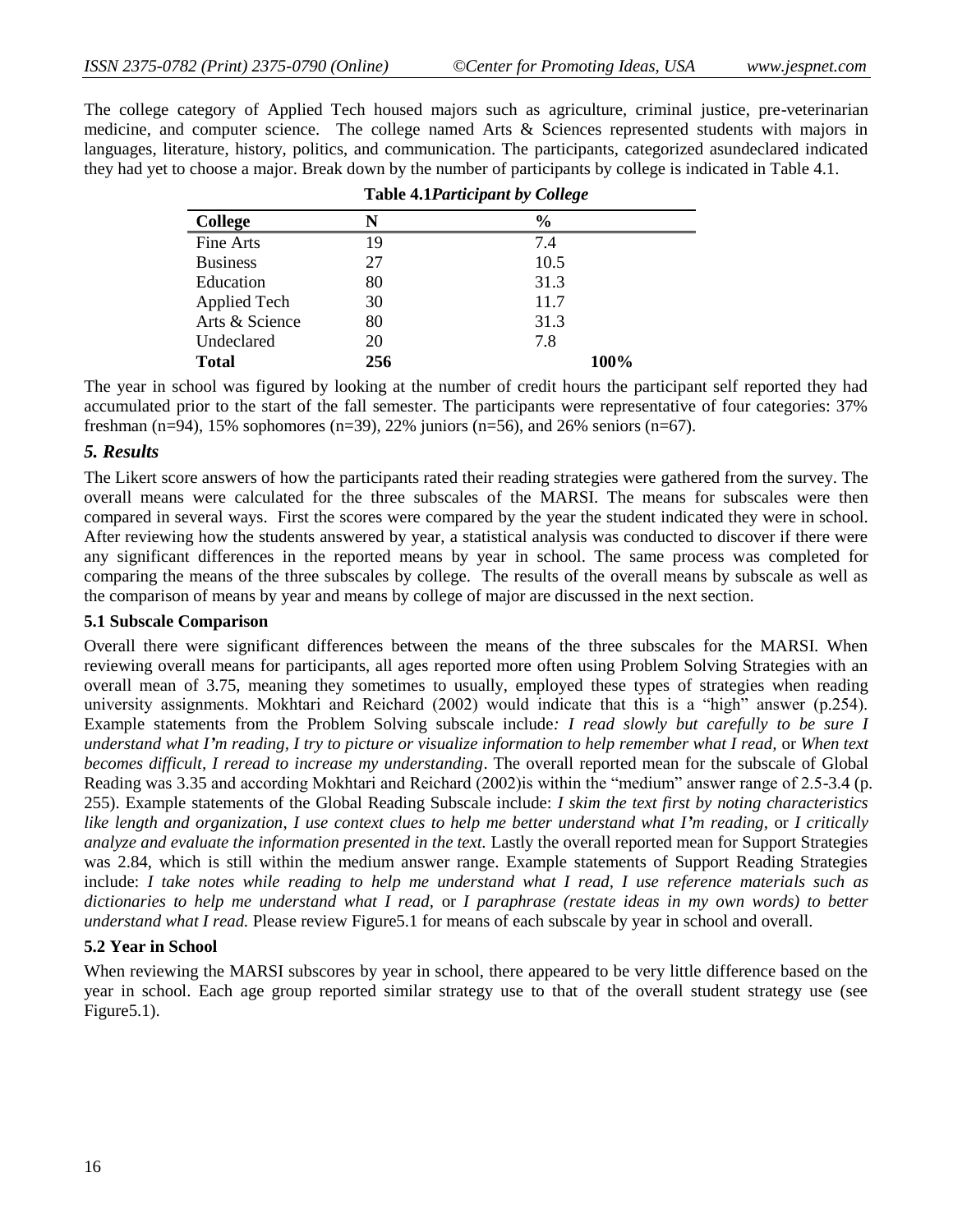The college category of Applied Tech housed majors such as agriculture, criminal justice, pre-veterinarian medicine, and computer science. The college named Arts & Sciences represented students with majors in languages, literature, history, politics, and communication. The participants, categorized asundeclared indicated they had yet to choose a major. Break down by the number of participants by college is indicated in Table 4.1.

|                 | <b>Table 4.1 Participant by College</b> |               |  |
|-----------------|-----------------------------------------|---------------|--|
| <b>College</b>  | N                                       | $\frac{6}{9}$ |  |
| Fine Arts       | 19                                      | 7.4           |  |
| <b>Business</b> | 27                                      | 10.5          |  |
| Education       | 80                                      | 31.3          |  |
| Applied Tech    | 30                                      | 11.7          |  |
| Arts & Science  | 80                                      | 31.3          |  |
| Undeclared      | 20                                      | 7.8           |  |
| <b>Total</b>    | 256                                     | 100%          |  |

The year in school was figured by looking at the number of credit hours the participant self reported they had accumulated prior to the start of the fall semester. The participants were representative of four categories: 37% freshman (n=94), 15% sophomores (n=39), 22% juniors (n=56), and 26% seniors (n=67).

## *5. Results*

The Likert score answers of how the participants rated their reading strategies were gathered from the survey. The overall means were calculated for the three subscales of the MARSI. The means for subscales were then compared in several ways. First the scores were compared by the year the student indicated they were in school. After reviewing how the students answered by year, a statistical analysis was conducted to discover if there were any significant differences in the reported means by year in school. The same process was completed for comparing the means of the three subscales by college. The results of the overall means by subscale as well as the comparison of means by year and means by college of major are discussed in the next section.

#### **5.1 Subscale Comparison**

Overall there were significant differences between the means of the three subscales for the MARSI. When reviewing overall means for participants, all ages reported more often using Problem Solving Strategies with an overall mean of 3.75, meaning they sometimes to usually, employed these types of strategies when reading university assignments. Mokhtari and Reichard (2002) would indicate that this is a "high" answer (p.254). Example statements from the Problem Solving subscale include*: I read slowly but carefully to be sure I understand what I'm reading, I try to picture or visualize information to help remember what I read,* or *When text becomes difficult, I reread to increase my understanding*. The overall reported mean for the subscale of Global Reading was 3.35 and according Mokhtari and Reichard (2002)is within the "medium" answer range of 2.5-3.4 (p. 255). Example statements of the Global Reading Subscale include: *I skim the text first by noting characteristics like length and organization*, *I use context clues to help me better understand what I'm reading,* or *I critically analyze and evaluate the information presented in the text.* Lastly the overall reported mean for Support Strategies was 2.84, which is still within the medium answer range. Example statements of Support Reading Strategies include: *I take notes while reading to help me understand what I read, I use reference materials such as dictionaries to help me understand what I read,* or *I paraphrase (restate ideas in my own words) to better understand what I read.* Please review Figure5.1 for means of each subscale by year in school and overall*.* 

## **5.2 Year in School**

When reviewing the MARSI subscores by year in school, there appeared to be very little difference based on the year in school. Each age group reported similar strategy use to that of the overall student strategy use (see Figure5.1).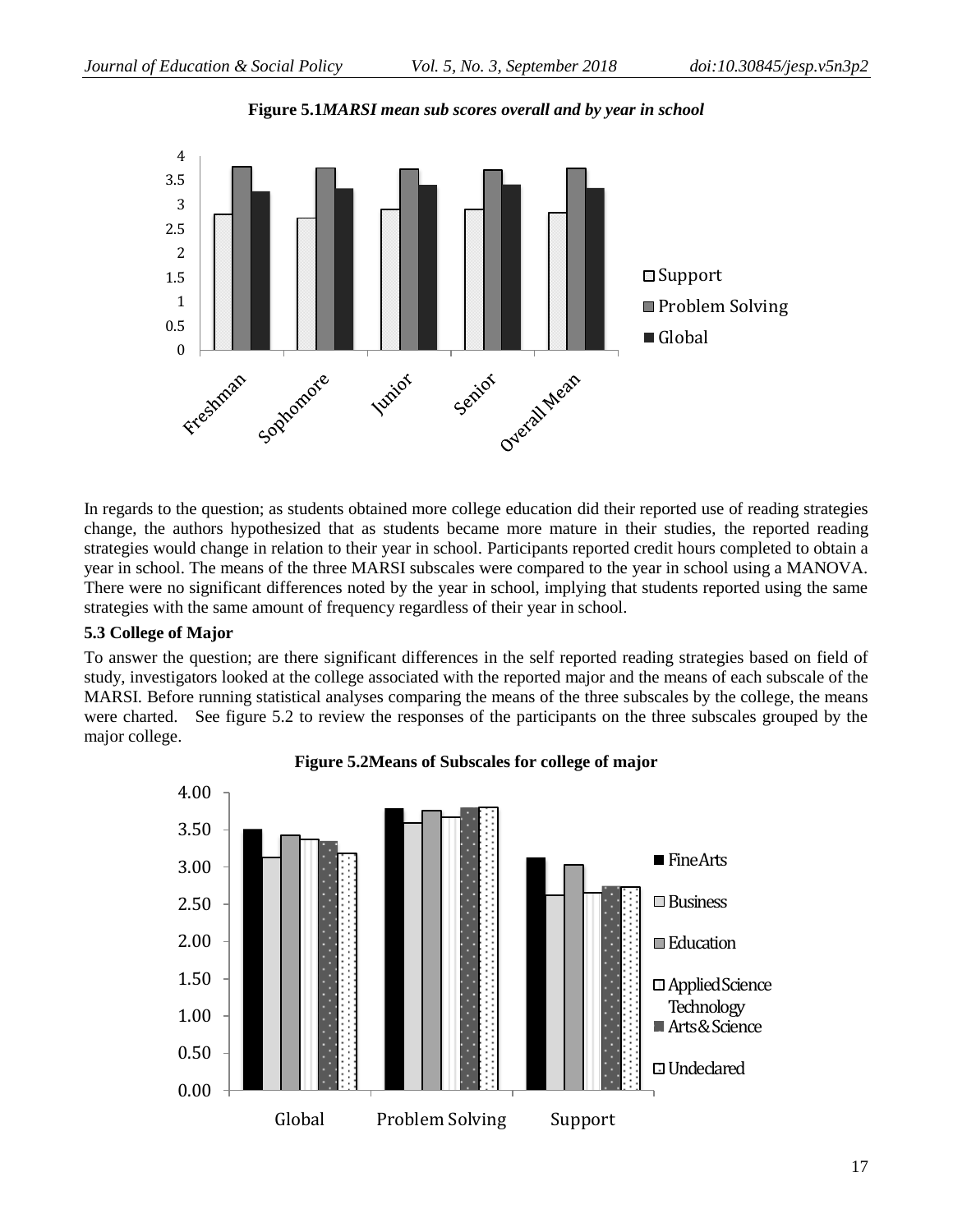

**Figure 5.1***MARSI mean sub scores overall and by year in school*

In regards to the question; as students obtained more college education did their reported use of reading strategies change, the authors hypothesized that as students became more mature in their studies, the reported reading strategies would change in relation to their year in school. Participants reported credit hours completed to obtain a year in school. The means of the three MARSI subscales were compared to the year in school using a MANOVA. There were no significant differences noted by the year in school, implying that students reported using the same strategies with the same amount of frequency regardless of their year in school.

## **5.3 College of Major**

To answer the question; are there significant differences in the self reported reading strategies based on field of study, investigators looked at the college associated with the reported major and the means of each subscale of the MARSI. Before running statistical analyses comparing the means of the three subscales by the college, the means were charted. See figure 5.2 to review the responses of the participants on the three subscales grouped by the major college.



**Figure 5.2Means of Subscales for college of major**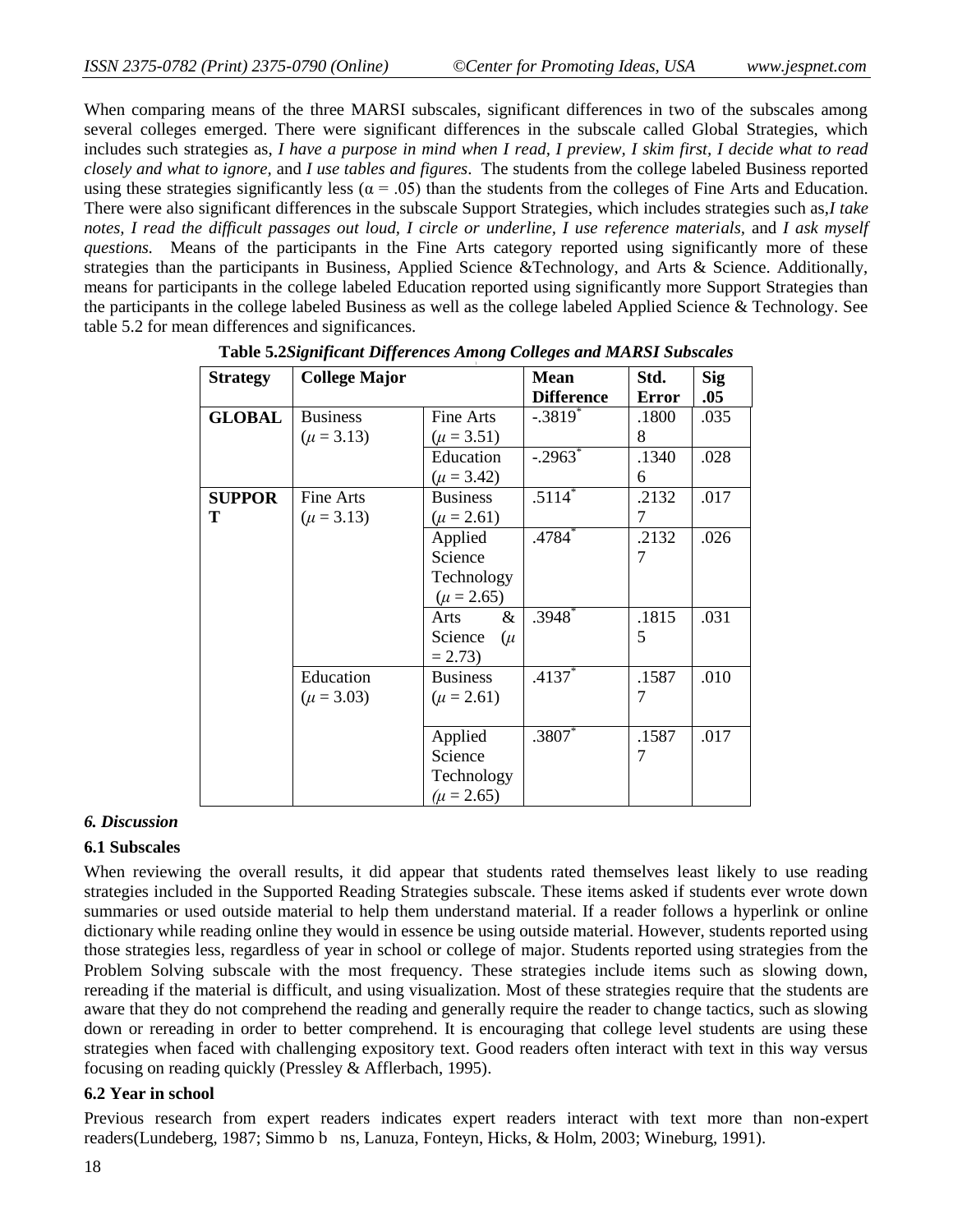When comparing means of the three MARSI subscales, significant differences in two of the subscales among several colleges emerged. There were significant differences in the subscale called Global Strategies, which includes such strategies as, *I have a purpose in mind when I read, I preview, I skim first, I decide what to read closely and what to ignore,* and *I use tables and figures*. The students from the college labeled Business reported using these strategies significantly less ( $\alpha$  = .05) than the students from the colleges of Fine Arts and Education. There were also significant differences in the subscale Support Strategies, which includes strategies such as,*I take notes, I read the difficult passages out loud, I circle or underline, I use reference materials,* and *I ask myself questions.* Means of the participants in the Fine Arts category reported using significantly more of these strategies than the participants in Business, Applied Science &Technology, and Arts & Science. Additionally, means for participants in the college labeled Education reported using significantly more Support Strategies than the participants in the college labeled Business as well as the college labeled Applied Science & Technology. See table 5.2 for mean differences and significances.

| <b>Strategy</b> | <b>College Major</b> |                   | <b>Mean</b><br><b>Difference</b> | Std.<br><b>Error</b> | <b>Sig</b><br>.05 |
|-----------------|----------------------|-------------------|----------------------------------|----------------------|-------------------|
| <b>GLOBAL</b>   | <b>Business</b>      | Fine Arts         | $-.3819$ <sup>*</sup>            | .1800                | .035              |
|                 | $(\mu = 3.13)$       | $(\mu = 3.51)$    |                                  | 8                    |                   |
|                 |                      | Education         | $-.2963$                         | .1340                | .028              |
|                 |                      | $(\mu = 3.42)$    |                                  | 6                    |                   |
| <b>SUPPOR</b>   | Fine Arts            | <b>Business</b>   | $.51\overline{14}^{*}$           | .2132                | .017              |
| Т               | $(\mu = 3.13)$       | $(\mu = 2.61)$    |                                  | $\tau$               |                   |
|                 |                      | Applied           | $.4784*$                         | .2132                | .026              |
|                 |                      | Science           |                                  | 7                    |                   |
|                 |                      | Technology        |                                  |                      |                   |
|                 |                      | $(\mu = 2.65)$    |                                  |                      |                   |
|                 |                      | &<br>Arts         | $.3948^{\degree}$                | .1815                | .031              |
|                 |                      | Science<br>$(\mu$ |                                  | 5                    |                   |
|                 |                      | $= 2.73$          |                                  |                      |                   |
|                 | Education            | <b>Business</b>   | $.4137*$                         | .1587                | .010              |
|                 | $(\mu = 3.03)$       | $(\mu = 2.61)$    |                                  | 7                    |                   |
|                 |                      |                   |                                  |                      |                   |
|                 |                      | Applied           | $.3807*$                         | .1587                | .017              |
|                 |                      | Science           |                                  | 7                    |                   |
|                 |                      | Technology        |                                  |                      |                   |
|                 |                      | $(\mu = 2.65)$    |                                  |                      |                   |

**Table 5.2***Significant Differences Among Colleges and MARSI Subscales*

#### *6. Discussion*

## **6.1 Subscales**

When reviewing the overall results, it did appear that students rated themselves least likely to use reading strategies included in the Supported Reading Strategies subscale. These items asked if students ever wrote down summaries or used outside material to help them understand material. If a reader follows a hyperlink or online dictionary while reading online they would in essence be using outside material. However, students reported using those strategies less, regardless of year in school or college of major. Students reported using strategies from the Problem Solving subscale with the most frequency. These strategies include items such as slowing down, rereading if the material is difficult, and using visualization. Most of these strategies require that the students are aware that they do not comprehend the reading and generally require the reader to change tactics, such as slowing down or rereading in order to better comprehend. It is encouraging that college level students are using these strategies when faced with challenging expository text. Good readers often interact with text in this way versus focusing on reading quickly (Pressley & Afflerbach, 1995).

## **6.2 Year in school**

Previous research from expert readers indicates expert readers interact with text more than non-expert readers(Lundeberg, 1987; Simmo b ns, Lanuza, Fonteyn, Hicks, & Holm, 2003; Wineburg, 1991).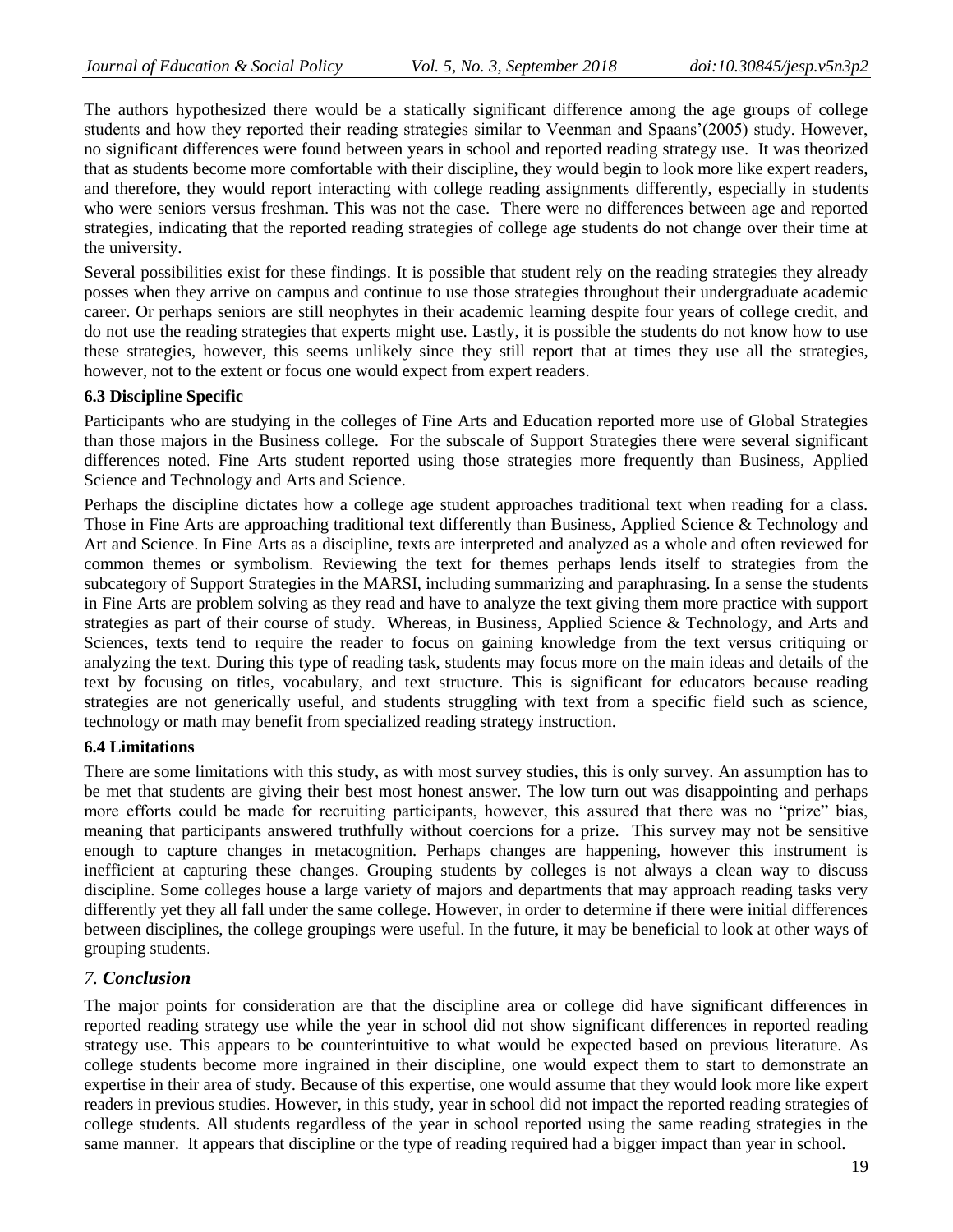The authors hypothesized there would be a statically significant difference among the age groups of college students and how they reported their reading strategies similar to Veenman and Spaans'(2005) study. However, no significant differences were found between years in school and reported reading strategy use. It was theorized that as students become more comfortable with their discipline, they would begin to look more like expert readers, and therefore, they would report interacting with college reading assignments differently, especially in students who were seniors versus freshman. This was not the case. There were no differences between age and reported strategies, indicating that the reported reading strategies of college age students do not change over their time at the university.

Several possibilities exist for these findings. It is possible that student rely on the reading strategies they already posses when they arrive on campus and continue to use those strategies throughout their undergraduate academic career. Or perhaps seniors are still neophytes in their academic learning despite four years of college credit, and do not use the reading strategies that experts might use. Lastly, it is possible the students do not know how to use these strategies, however, this seems unlikely since they still report that at times they use all the strategies, however, not to the extent or focus one would expect from expert readers.

## **6.3 Discipline Specific**

Participants who are studying in the colleges of Fine Arts and Education reported more use of Global Strategies than those majors in the Business college. For the subscale of Support Strategies there were several significant differences noted. Fine Arts student reported using those strategies more frequently than Business, Applied Science and Technology and Arts and Science.

Perhaps the discipline dictates how a college age student approaches traditional text when reading for a class. Those in Fine Arts are approaching traditional text differently than Business, Applied Science & Technology and Art and Science. In Fine Arts as a discipline, texts are interpreted and analyzed as a whole and often reviewed for common themes or symbolism. Reviewing the text for themes perhaps lends itself to strategies from the subcategory of Support Strategies in the MARSI, including summarizing and paraphrasing. In a sense the students in Fine Arts are problem solving as they read and have to analyze the text giving them more practice with support strategies as part of their course of study. Whereas, in Business, Applied Science & Technology, and Arts and Sciences, texts tend to require the reader to focus on gaining knowledge from the text versus critiquing or analyzing the text. During this type of reading task, students may focus more on the main ideas and details of the text by focusing on titles, vocabulary, and text structure. This is significant for educators because reading strategies are not generically useful, and students struggling with text from a specific field such as science, technology or math may benefit from specialized reading strategy instruction.

## **6.4 Limitations**

There are some limitations with this study, as with most survey studies, this is only survey. An assumption has to be met that students are giving their best most honest answer. The low turn out was disappointing and perhaps more efforts could be made for recruiting participants, however, this assured that there was no "prize" bias, meaning that participants answered truthfully without coercions for a prize. This survey may not be sensitive enough to capture changes in metacognition. Perhaps changes are happening, however this instrument is inefficient at capturing these changes. Grouping students by colleges is not always a clean way to discuss discipline. Some colleges house a large variety of majors and departments that may approach reading tasks very differently yet they all fall under the same college. However, in order to determine if there were initial differences between disciplines, the college groupings were useful. In the future, it may be beneficial to look at other ways of grouping students.

## *7. Conclusion*

The major points for consideration are that the discipline area or college did have significant differences in reported reading strategy use while the year in school did not show significant differences in reported reading strategy use. This appears to be counterintuitive to what would be expected based on previous literature. As college students become more ingrained in their discipline, one would expect them to start to demonstrate an expertise in their area of study. Because of this expertise, one would assume that they would look more like expert readers in previous studies. However, in this study, year in school did not impact the reported reading strategies of college students. All students regardless of the year in school reported using the same reading strategies in the same manner. It appears that discipline or the type of reading required had a bigger impact than year in school.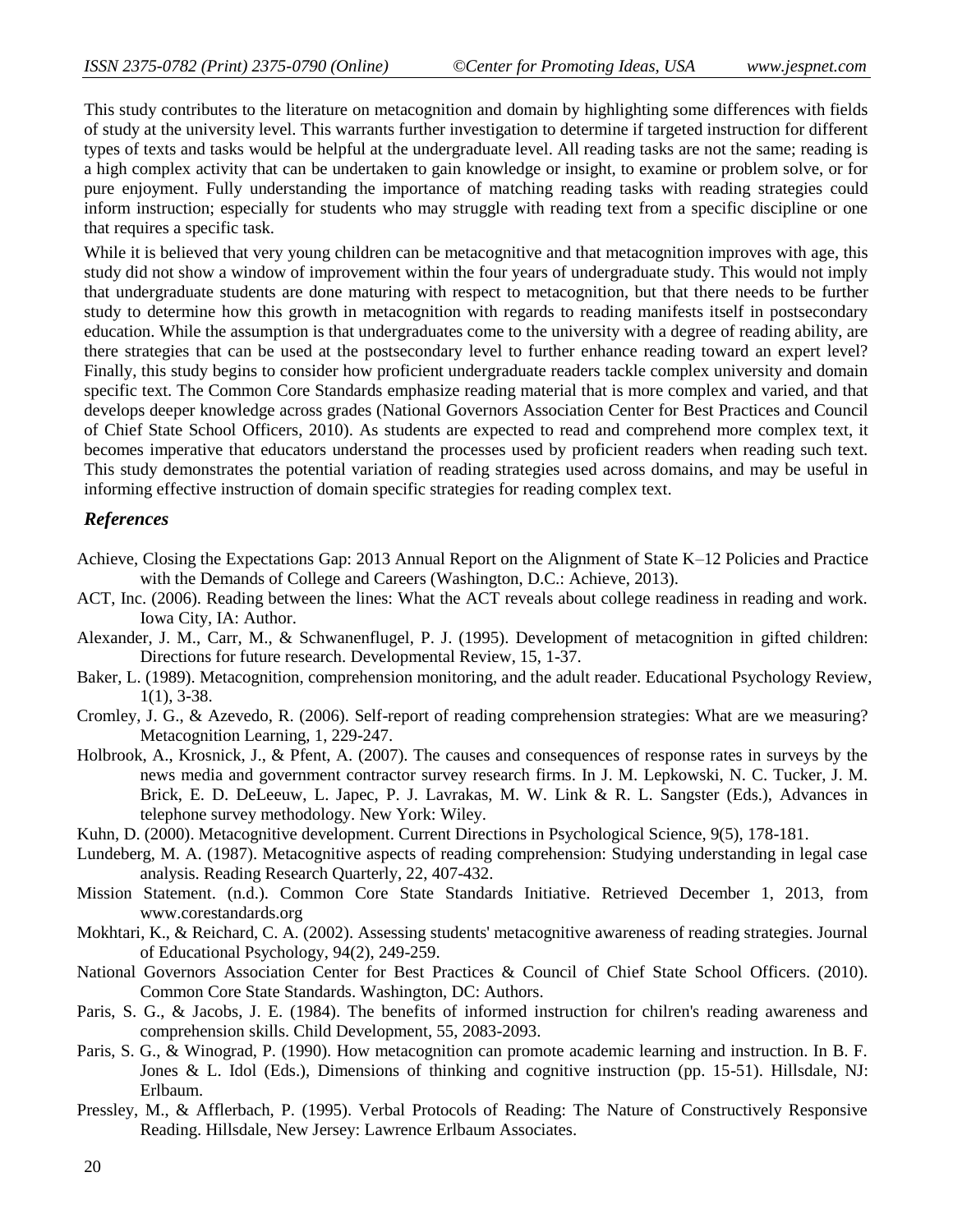This study contributes to the literature on metacognition and domain by highlighting some differences with fields of study at the university level. This warrants further investigation to determine if targeted instruction for different types of texts and tasks would be helpful at the undergraduate level. All reading tasks are not the same; reading is a high complex activity that can be undertaken to gain knowledge or insight, to examine or problem solve, or for pure enjoyment. Fully understanding the importance of matching reading tasks with reading strategies could inform instruction; especially for students who may struggle with reading text from a specific discipline or one that requires a specific task.

While it is believed that very young children can be metacognitive and that metacognition improves with age, this study did not show a window of improvement within the four years of undergraduate study. This would not imply that undergraduate students are done maturing with respect to metacognition, but that there needs to be further study to determine how this growth in metacognition with regards to reading manifests itself in postsecondary education. While the assumption is that undergraduates come to the university with a degree of reading ability, are there strategies that can be used at the postsecondary level to further enhance reading toward an expert level? Finally, this study begins to consider how proficient undergraduate readers tackle complex university and domain specific text. The Common Core Standards emphasize reading material that is more complex and varied, and that develops deeper knowledge across grades (National Governors Association Center for Best Practices and Council of Chief State School Officers, 2010). As students are expected to read and comprehend more complex text, it becomes imperative that educators understand the processes used by proficient readers when reading such text. This study demonstrates the potential variation of reading strategies used across domains, and may be useful in informing effective instruction of domain specific strategies for reading complex text.

#### *References*

- Achieve, Closing the Expectations Gap: 2013 Annual Report on the Alignment of State K–12 Policies and Practice with the Demands of College and Careers (Washington, D.C.: Achieve, 2013).
- ACT, Inc. (2006). Reading between the lines: What the ACT reveals about college readiness in reading and work. Iowa City, IA: Author.
- Alexander, J. M., Carr, M., & Schwanenflugel, P. J. (1995). Development of metacognition in gifted children: Directions for future research. Developmental Review, 15, 1-37.
- Baker, L. (1989). Metacognition, comprehension monitoring, and the adult reader. Educational Psychology Review, 1(1), 3-38.
- Cromley, J. G., & Azevedo, R. (2006). Self-report of reading comprehension strategies: What are we measuring? Metacognition Learning, 1, 229-247.
- Holbrook, A., Krosnick, J., & Pfent, A. (2007). The causes and consequences of response rates in surveys by the news media and government contractor survey research firms. In J. M. Lepkowski, N. C. Tucker, J. M. Brick, E. D. DeLeeuw, L. Japec, P. J. Lavrakas, M. W. Link & R. L. Sangster (Eds.), Advances in telephone survey methodology. New York: Wiley.
- Kuhn, D. (2000). Metacognitive development. Current Directions in Psychological Science, 9(5), 178-181.
- Lundeberg, M. A. (1987). Metacognitive aspects of reading comprehension: Studying understanding in legal case analysis. Reading Research Quarterly, 22, 407-432.
- Mission Statement. (n.d.). Common Core State Standards Initiative. Retrieved December 1, 2013, from www.corestandards.org
- Mokhtari, K., & Reichard, C. A. (2002). Assessing students' metacognitive awareness of reading strategies. Journal of Educational Psychology, 94(2), 249-259.
- National Governors Association Center for Best Practices & Council of Chief State School Officers. (2010). Common Core State Standards. Washington, DC: Authors.
- Paris, S. G., & Jacobs, J. E. (1984). The benefits of informed instruction for chilren's reading awareness and comprehension skills. Child Development, 55, 2083-2093.
- Paris, S. G., & Winograd, P. (1990). How metacognition can promote academic learning and instruction. In B. F. Jones & L. Idol (Eds.), Dimensions of thinking and cognitive instruction (pp. 15-51). Hillsdale, NJ: Erlbaum.
- Pressley, M., & Afflerbach, P. (1995). Verbal Protocols of Reading: The Nature of Constructively Responsive Reading. Hillsdale, New Jersey: Lawrence Erlbaum Associates.